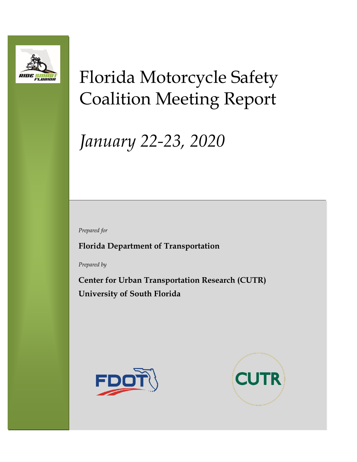

# Florida Motorcycle Safety Coalition Meeting Report

# *January 22-23, 2020*

*Prepared for*

**Florida Department of Transportation**

*Prepared by*

**Center for Urban Transportation Research (CUTR) University of South Florida**



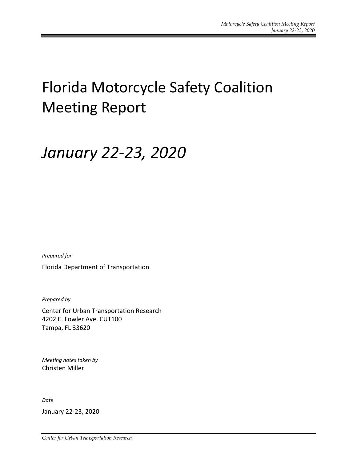## Florida Motorcycle Safety Coalition Meeting Report

## *January 22-23, 2020*

*Prepared for* Florida Department of Transportation

*Prepared by*

Center for Urban Transportation Research 4202 E. Fowler Ave. CUT100 Tampa, FL 33620

*Meeting notes taken by* Christen Miller

*Date*

January 22-23, 2020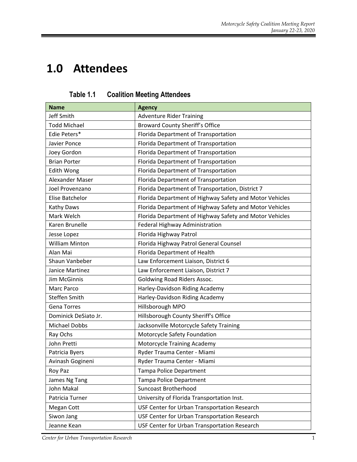## **1.0 Attendees**

| <b>Name</b>           | <b>Agency</b>                                           |
|-----------------------|---------------------------------------------------------|
| <b>Jeff Smith</b>     | <b>Adventure Rider Training</b>                         |
| <b>Todd Michael</b>   | <b>Broward County Sheriff's Office</b>                  |
| Edie Peters*          | Florida Department of Transportation                    |
| Javier Ponce          | Florida Department of Transportation                    |
| Joey Gordon           | Florida Department of Transportation                    |
| <b>Brian Porter</b>   | Florida Department of Transportation                    |
| <b>Edith Wong</b>     | Florida Department of Transportation                    |
| Alexander Maser       | Florida Department of Transportation                    |
| Joel Provenzano       | Florida Department of Transportation, District 7        |
| Elise Batchelor       | Florida Department of Highway Safety and Motor Vehicles |
| Kathy Daws            | Florida Department of Highway Safety and Motor Vehicles |
| Mark Welch            | Florida Department of Highway Safety and Motor Vehicles |
| Karen Brunelle        | Federal Highway Administration                          |
| Jesse Lopez           | Florida Highway Patrol                                  |
| <b>William Minton</b> | Florida Highway Patrol General Counsel                  |
| Alan Mai              | Florida Department of Health                            |
| Shaun Vanbeber        | Law Enforcement Liaison, District 6                     |
| Janice Martinez       | Law Enforcement Liaison, District 7                     |
| Jim McGinnis          | <b>Goldwing Road Riders Assoc.</b>                      |
| Marc Parco            | Harley-Davidson Riding Academy                          |
| Steffen Smith         | Harley-Davidson Riding Academy                          |
| <b>Gena Torres</b>    | Hillsborough MPO                                        |
| Dominick DeSiato Jr.  | Hillsborough County Sheriff's Office                    |
| <b>Michael Dobbs</b>  | Jacksonville Motorcycle Safety Training                 |
| Ray Ochs              | Motorcycle Safety Foundation                            |
| John Pretti           | Motorcycle Training Academy                             |
| Patricia Byers        | Ryder Trauma Center - Miami                             |
| Avinash Gogineni      | Ryder Trauma Center - Miami                             |
| Roy Paz               | Tampa Police Department                                 |
| James Ng Tang         | Tampa Police Department                                 |
| John Makal            | <b>Suncoast Brotherhood</b>                             |
| Patricia Turner       | University of Florida Transportation Inst.              |
| Megan Cott            | USF Center for Urban Transportation Research            |
| Siwon Jang            | USF Center for Urban Transportation Research            |
| Jeanne Kean           | USF Center for Urban Transportation Research            |

**Table 1.1 Coalition Meeting Attendees**

**Center for Urban Transportation Research** 1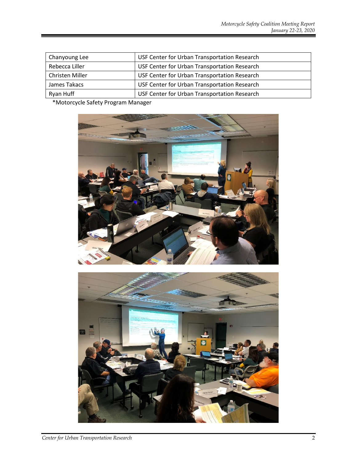| Chanyoung Lee   | USF Center for Urban Transportation Research |
|-----------------|----------------------------------------------|
| Rebecca Liller  | USF Center for Urban Transportation Research |
| Christen Miller | USF Center for Urban Transportation Research |
| James Takacs    | USF Center for Urban Transportation Research |
| Ryan Huff       | USF Center for Urban Transportation Research |

\*Motorcycle Safety Program Manager



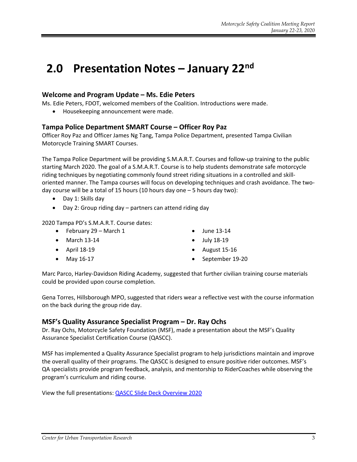### **2.0 Presentation Notes – January 22nd**

#### **Welcome and Program Update – Ms. Edie Peters**

Ms. Edie Peters, FDOT, welcomed members of the Coalition. Introductions were made.

• Housekeeping announcement were made.

#### **Tampa Police Department SMART Course – Officer Roy Paz**

Officer Roy Paz and Officer James Ng Tang, Tampa Police Department, presented Tampa Civilian Motorcycle Training SMART Courses.

The Tampa Police Department will be providing S.M.A.R.T. Courses and follow-up training to the public starting March 2020. The goal of a S.M.A.R.T. Course is to help students demonstrate safe motorcycle riding techniques by negotiating commonly found street riding situations in a controlled and skilloriented manner. The Tampa courses will focus on developing techniques and crash avoidance. The twoday course will be a total of 15 hours (10 hours day one – 5 hours day two):

- Day 1: Skills day
- Day 2: Group riding day partners can attend riding day

2020 Tampa PD's S.M.A.R.T. Course dates:

- February 29 March 1
- March 13-14
- April 18-19
- May 16-17
- June 13-14
- July 18-19
- August 15-16
- September 19-20

Marc Parco, Harley-Davidson Riding Academy, suggested that further civilian training course materials could be provided upon course completion.

Gena Torres, Hillsborough MPO, suggested that riders wear a reflective vest with the course information on the back during the group ride day.

#### **MSF's Quality Assurance Specialist Program – Dr. Ray Ochs**

Dr. Ray Ochs, Motorcycle Safety Foundation (MSF), made a presentation about the MSF's Quality Assurance Specialist Certification Course (QASCC).

MSF has implemented a Quality Assurance Specialist program to help jurisdictions maintain and improve the overall quality of their programs. The QASCC is designed to ensure positive rider outcomes. MSF's QA specialists provide program feedback, analysis, and mentorship to RiderCoaches while observing the program's curriculum and riding course.

View the full presentations: [QASCC Slide Deck Overview 2020](http://ridesmartflorida.com/download/qascc-slide-deck-overview-2020)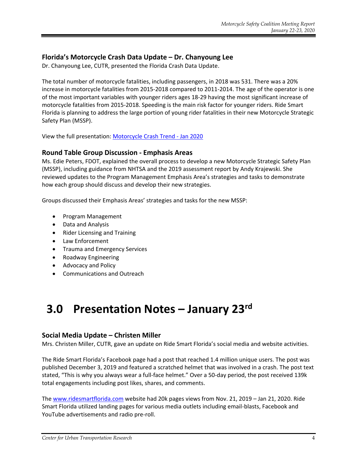#### **Florida's Motorcycle Crash Data Update – Dr. Chanyoung Lee**

Dr. Chanyoung Lee, CUTR, presented the Florida Crash Data Update.

The total number of motorcycle fatalities, including passengers, in 2018 was 531. There was a 20% increase in motorcycle fatalities from 2015-2018 compared to 2011-2014. The age of the operator is one of the most important variables with younger riders ages 18-29 having the most significant increase of motorcycle fatalities from 2015-2018. Speeding is the main risk factor for younger riders. Ride Smart Florida is planning to address the large portion of young rider fatalities in their new Motorcycle Strategic Safety Plan (MSSP).

View the full presentation: [Motorcycle Crash Trend -](http://ridesmartflorida.com/download/motorcycle-crash-trend-jan-2020) Jan 2020

#### **Round Table Group Discussion - Emphasis Areas**

Ms. Edie Peters, FDOT, explained the overall process to develop a new Motorcycle Strategic Safety Plan (MSSP), including guidance from NHTSA and the 2019 assessment report by Andy Krajewski. She reviewed updates to the Program Management Emphasis Area's strategies and tasks to demonstrate how each group should discuss and develop their new strategies.

Groups discussed their Emphasis Areas' strategies and tasks for the new MSSP:

- Program Management
- Data and Analysis
- Rider Licensing and Training
- Law Enforcement
- Trauma and Emergency Services
- Roadway Engineering
- Advocacy and Policy
- Communications and Outreach

### **3.0 Presentation Notes – January 23rd**

#### **Social Media Update – Christen Miller**

Mrs. Christen Miller, CUTR, gave an update on Ride Smart Florida's social media and website activities.

The Ride Smart Florida's Facebook page had a post that reached 1.4 million unique users. The post was published December 3, 2019 and featured a scratched helmet that was involved in a crash. The post text stated, "This is why you always wear a full-face helmet." Over a 50-day period, the post received 139k total engagements including post likes, shares, and comments.

The [www.ridesmartflorida.com](http://www.ridesmartflorida.com/) website had 20k pages views from Nov. 21, 2019 – Jan 21, 2020. Ride Smart Florida utilized landing pages for various media outlets including email-blasts, Facebook and YouTube advertisements and radio pre-roll.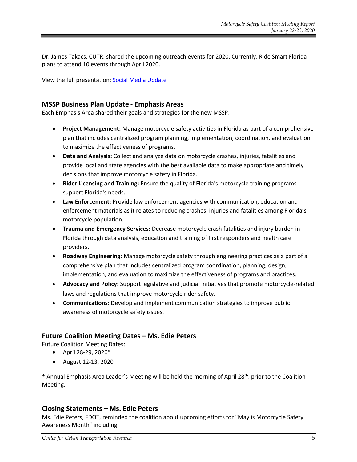Dr. James Takacs, CUTR, shared the upcoming outreach events for 2020. Currently, Ride Smart Florida plans to attend 10 events through April 2020.

View the full presentation: [Social Media Update](http://ridesmartflorida.com/download/social-media-update-jan-2020)

#### **MSSP Business Plan Update - Emphasis Areas**

Each Emphasis Area shared their goals and strategies for the new MSSP:

- **Project Management:** Manage motorcycle safety activities in Florida as part of a comprehensive plan that includes centralized program planning, implementation, coordination, and evaluation to maximize the effectiveness of programs.
- **Data and Analysis:** Collect and analyze data on motorcycle crashes, injuries, fatalities and provide local and state agencies with the best available data to make appropriate and timely decisions that improve motorcycle safety in Florida.
- **Rider Licensing and Training:** Ensure the quality of Florida's motorcycle training programs support Florida's needs.
- **Law Enforcement:** Provide law enforcement agencies with communication, education and enforcement materials as it relates to reducing crashes, injuries and fatalities among Florida's motorcycle population.
- **Trauma and Emergency Services:** Decrease motorcycle crash fatalities and injury burden in Florida through data analysis, education and training of first responders and health care providers.
- **Roadway Engineering:** Manage motorcycle safety through engineering practices as a part of a comprehensive plan that includes centralized program coordination, planning, design, implementation, and evaluation to maximize the effectiveness of programs and practices.
- **Advocacy and Policy:** Support legislative and judicial initiatives that promote motorcycle-related laws and regulations that improve motorcycle rider safety.
- **Communications:** Develop and implement communication strategies to improve public awareness of motorcycle safety issues.

#### **Future Coalition Meeting Dates – Ms. Edie Peters**

Future Coalition Meeting Dates:

- April 28-29, 2020\*
- August 12-13, 2020

\* Annual Emphasis Area Leader's Meeting will be held the morning of April 28th, prior to the Coalition Meeting.

#### **Closing Statements – Ms. Edie Peters**

Ms. Edie Peters, FDOT, reminded the coalition about upcoming efforts for "May is Motorcycle Safety Awareness Month" including: